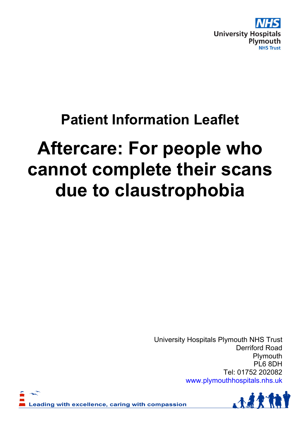

# **Patient Information Leaflet**

# **Aftercare: For people who cannot complete their scans due to claustrophobia**

University Hospitals Plymouth NHS Trust Derriford Road Plymouth PL6 8DH Tel: 01752 202082 www.plymouthhospitals.nhs.uk



eading with excellence, caring with compassion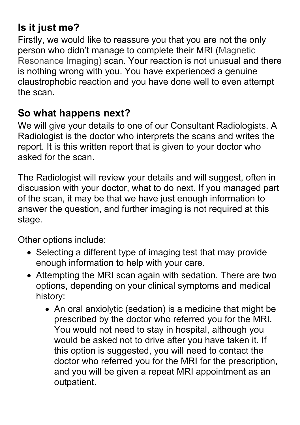### **Is it just me?**

Firstly, we would like to reassure you that you are not the only person who didn't manage to complete their MRI (Magnetic Resonance Imaging) scan. Your reaction is not unusual and there is nothing wrong with you. You have experienced a genuine claustrophobic reaction and you have done well to even attempt the scan.

#### **So what happens next?**

We will give your details to one of our Consultant Radiologists. A Radiologist is the doctor who interprets the scans and writes the report. It is this written report that is given to your doctor who asked for the scan.

The Radiologist will review your details and will suggest, often in discussion with your doctor, what to do next. If you managed part of the scan, it may be that we have just enough information to answer the question, and further imaging is not required at this stage.

Other options include:

- Selecting a different type of imaging test that may provide enough information to help with your care.
- Attempting the MRI scan again with sedation. There are two options, depending on your clinical symptoms and medical history:
	- An oral anxiolytic (sedation) is a medicine that might be prescribed by the doctor who referred you for the MRI. You would not need to stay in hospital, although you would be asked not to drive after you have taken it. If this option is suggested, you will need to contact the doctor who referred you for the MRI for the prescription, and you will be given a repeat MRI appointment as an outpatient.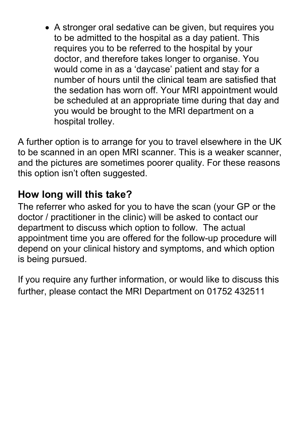A stronger oral sedative can be given, but requires you to be admitted to the hospital as a day patient. This requires you to be referred to the hospital by your doctor, and therefore takes longer to organise. You would come in as a 'daycase' patient and stay for a number of hours until the clinical team are satisfied that the sedation has worn off. Your MRI appointment would be scheduled at an appropriate time during that day and you would be brought to the MRI department on a hospital trolley.

A further option is to arrange for you to travel elsewhere in the UK to be scanned in an open MRI scanner. This is a weaker scanner, and the pictures are sometimes poorer quality. For these reasons this option isn't often suggested.

#### **How long will this take?**

The referrer who asked for you to have the scan (your GP or the doctor / practitioner in the clinic) will be asked to contact our department to discuss which option to follow. The actual appointment time you are offered for the follow-up procedure will depend on your clinical history and symptoms, and which option is being pursued.

If you require any further information, or would like to discuss this further, please contact the MRI Department on 01752 432511